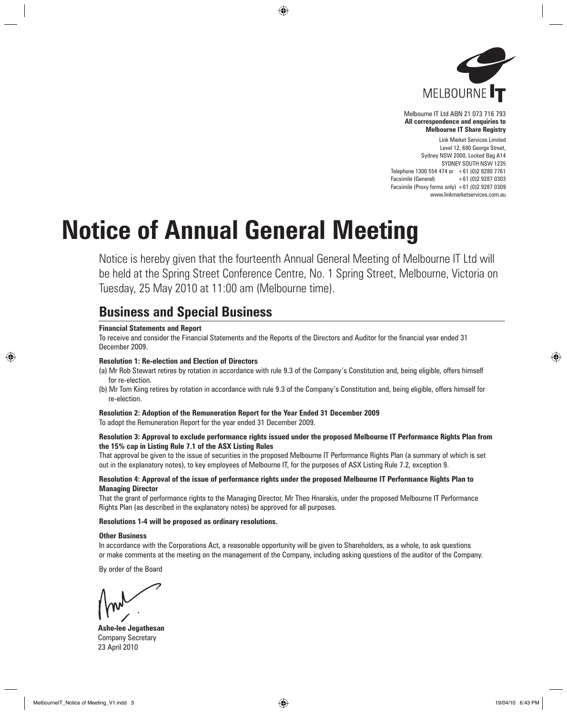

Melbourne IT Ltd ABN 21 073 716 793 **All correspondence and enquiries to Melbourne IT Share Registry**

Link Market Services Limited Level 12, 680 George Street, Sydney NSW 2000, Locked Bag A14 SYDNEY SOUTH NSW 1235 Telephone 1300 554 474 or  $+61$  (0)2 8280 7761 Facsimile (General) +61 (0)2 9287 0303 Facsimile (Proxy forms only)  $+61$  (0)2 9287 0309 www.linkmarketservices.com.au

# **Notice of Annual General Meeting**

Notice is hereby given that the fourteenth Annual General Meeting of Melbourne IT Ltd will be held at the Spring Street Conference Centre, No. 1 Spring Street, Melbourne, Victoria on Tuesday, 25 May 2010 at 11:00 am (Melbourne time).

## **Business and Special Business**

#### **Financial Statements and Report**

To receive and consider the Financial Statements and the Reports of the Directors and Auditor for the financial year ended 31 December 2009.

#### **Resolution 1: Re-election and Election of Directors**

- (a) Mr Rob Stewart retires by rotation in accordance with rule 9.3 of the Company's Constitution and, being eligible, offers himself for re-election.
- (b) Mr Tom Kiing retires by rotation in accordance with rule 9.3 of the Company's Constitution and, being eligible, offers himself for re-election.

## **Resolution 2: Adoption of the Remuneration Report for the Year Ended 31 December 2009**

To adopt the Remuneration Report for the year ended 31 December 2009.

#### **Resolution 3: Approval to exclude performance rights issued under the proposed Melbourne IT Performance Rights Plan from the 15% cap in Listing Rule 7.1 of the ASX Listing Rules**

That approval be given to the issue of securities in the proposed Melbourne IT Performance Rights Plan (a summary of which is set out in the explanatory notes), to key employees of Melbourne IT, for the purposes of ASX Listing Rule 7.2, exception 9.

#### **Resolution 4: Approval of the issue of performance rights under the proposed Melbourne IT Performance Rights Plan to Managing Director**

That the grant of performance rights to the Managing Director, Mr Theo Hnarakis, under the proposed Melbourne IT Performance Rights Plan (as described in the explanatory notes) be approved for all purposes.

#### **Resolutions 1-4 will be proposed as ordinary resolutions.**

#### **Other Business**

In accordance with the Corporations Act, a reasonable opportunity will be given to Shareholders, as a whole, to ask questions or make comments at the meeting on the management of the Company, including asking questions of the auditor of the Company.

By order of the Board

**Ashe-lee Jegathesan** Company Secretary 23 April 2010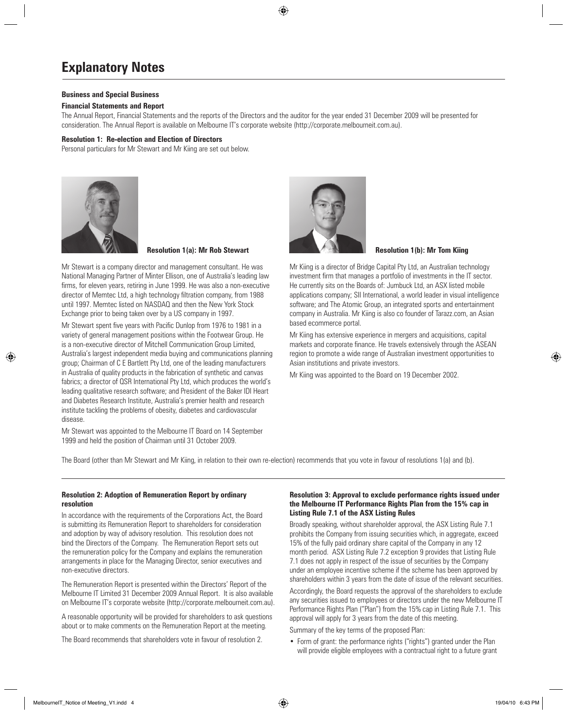## **Explanatory Notes**

#### **Business and Special Business**

#### **Financial Statements and Report**

The Annual Report, Financial Statements and the reports of the Directors and the auditor for the year ended 31 December 2009 will be presented for consideration. The Annual Report is available on Melbourne IT's corporate website (http://corporate.melbourneit.com.au).

#### **Resolution 1: Re-election and Election of Directors**

Personal particulars for Mr Stewart and Mr Kiing are set out below.



**Resolution 1(a): Mr Rob Stewart Resolution 1(b): Mr Tom Kiing** 

Mr Stewart is a company director and management consultant. He was National Managing Partner of Minter Ellison, one of Australia's leading law firms, for eleven years, retiring in June 1999. He was also a non-executive director of Memtec Ltd, a high technology filtration company, from 1988 until 1997. Memtec listed on NASDAQ and then the New York Stock Exchange prior to being taken over by a US company in 1997.

Mr Stewart spent five years with Pacific Dunlop from 1976 to 1981 in a variety of general management positions within the Footwear Group. He is a non-executive director of Mitchell Communication Group Limited, Australia's largest independent media buying and communications planning group; Chairman of C E Bartlett Pty Ltd, one of the leading manufacturers in Australia of quality products in the fabrication of synthetic and canvas fabrics; a director of QSR International Pty Ltd, which produces the world's leading qualitative research software; and President of the Baker IDI Heart and Diabetes Research Institute, Australia's premier health and research institute tackling the problems of obesity, diabetes and cardiovascular disease.

Mr Stewart was appointed to the Melbourne IT Board on 14 September 1999 and held the position of Chairman until 31 October 2009.



Mr Kiing is a director of Bridge Capital Pty Ltd, an Australian technology investment firm that manages a portfolio of investments in the IT sector. He currently sits on the Boards of: Jumbuck Ltd, an ASX listed mobile applications company; SII International, a world leader in visual intelligence software; and The Atomic Group, an integrated sports and entertainment company in Australia. Mr Kiing is also co founder of Tarazz.com, an Asian based ecommerce portal.

Mr Kiing has extensive experience in mergers and acquisitions, capital markets and corporate finance. He travels extensively through the ASEAN region to promote a wide range of Australian investment opportunities to Asian institutions and private investors.

Mr Kiing was appointed to the Board on 19 December 2002.

The Board (other than Mr Stewart and Mr Kiing, in relation to their own re-election) recommends that you vote in favour of resolutions 1(a) and (b).

#### **Resolution 2: Adoption of Remuneration Report by ordinary resolution**

In accordance with the requirements of the Corporations Act, the Board is submitting its Remuneration Report to shareholders for consideration and adoption by way of advisory resolution. This resolution does not bind the Directors of the Company. The Remuneration Report sets out the remuneration policy for the Company and explains the remuneration arrangements in place for the Managing Director, senior executives and non-executive directors.

The Remuneration Report is presented within the Directors' Report of the Melbourne IT Limited 31 December 2009 Annual Report. It is also available on Melbourne IT's corporate website (http://corporate.melbourneit.com.au).

A reasonable opportunity will be provided for shareholders to ask questions about or to make comments on the Remuneration Report at the meeting.

The Board recommends that shareholders vote in favour of resolution 2.

#### **Resolution 3: Approval to exclude performance rights issued under the Melbourne IT Performance Rights Plan from the 15% cap in Listing Rule 7.1 of the ASX Listing Rules**

Broadly speaking, without shareholder approval, the ASX Listing Rule 7.1 prohibits the Company from issuing securities which, in aggregate, exceed 15% of the fully paid ordinary share capital of the Company in any 12 month period. ASX Listing Rule 7.2 exception 9 provides that Listing Rule 7.1 does not apply in respect of the issue of securities by the Company under an employee incentive scheme if the scheme has been approved by shareholders within 3 years from the date of issue of the relevant securities. Accordingly, the Board requests the approval of the shareholders to exclude any securities issued to employees or directors under the new Melbourne IT Performance Rights Plan ("Plan") from the 15% cap in Listing Rule 7.1. This approval will apply for 3 years from the date of this meeting. Summary of the key terms of the proposed Plan:

• Form of grant: the performance rights ("rights") granted under the Plan will provide eligible employees with a contractual right to a future grant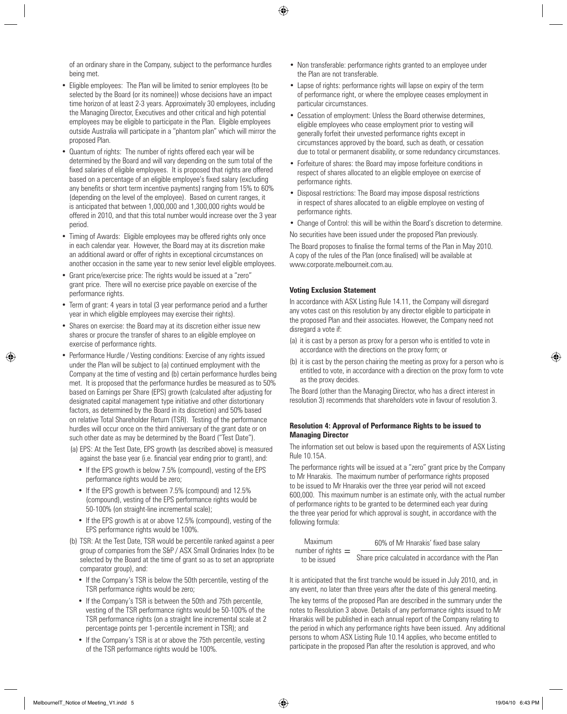of an ordinary share in the Company, subject to the performance hurdles being met.

- Eligible employees: The Plan will be limited to senior employees (to be selected by the Board (or its nominee)) whose decisions have an impact time horizon of at least 2-3 years. Approximately 30 employees, including the Managing Director, Executives and other critical and high potential employees may be eligible to participate in the Plan. Eligible employees outside Australia will participate in a "phantom plan" which will mirror the proposed Plan.
- Quantum of rights: The number of rights offered each year will be determined by the Board and will vary depending on the sum total of the fixed salaries of eligible employees. It is proposed that rights are offered based on a percentage of an eligible employee's fixed salary (excluding any benefits or short term incentive payments) ranging from 15% to 60% (depending on the level of the employee). Based on current ranges, it is anticipated that between 1,000,000 and 1,300,000 rights would be offered in 2010, and that this total number would increase over the 3 year period.
- Timing of Awards: Eligible employees may be offered rights only once in each calendar year. However, the Board may at its discretion make an additional award or offer of rights in exceptional circumstances on another occasion in the same year to new senior level eligible employees.
- Grant price/exercise price: The rights would be issued at a "zero" grant price. There will no exercise price payable on exercise of the performance rights.
- Term of grant: 4 years in total (3 year performance period and a further year in which eligible employees may exercise their rights).
- Shares on exercise: the Board may at its discretion either issue new shares or procure the transfer of shares to an eligible employee on exercise of performance rights.
- Performance Hurdle / Vesting conditions: Exercise of any rights issued under the Plan will be subject to (a) continued employment with the Company at the time of vesting and (b) certain performance hurdles being met. It is proposed that the performance hurdles be measured as to 50% based on Earnings per Share (EPS) growth (calculated after adjusting for designated capital management type initiative and other distortionary factors, as determined by the Board in its discretion) and 50% based on relative Total Shareholder Return (TSR). Testing of the performance hurdles will occur once on the third anniversary of the grant date or on such other date as may be determined by the Board ("Test Date").
	- (a) EPS: At the Test Date, EPS growth (as described above) is measured against the base year (i.e. financial year ending prior to grant), and:
		- If the EPS growth is below 7.5% (compound), vesting of the EPS performance rights would be zero;
		- If the EPS growth is between 7.5% (compound) and 12.5% (compound), vesting of the EPS performance rights would be 50-100% (on straight-line incremental scale);
		- If the EPS growth is at or above 12.5% (compound), vesting of the EPS performance rights would be 100%.
	- (b) TSR: At the Test Date, TSR would be percentile ranked against a peer group of companies from the S&P / ASX Small Ordinaries Index (to be selected by the Board at the time of grant so as to set an appropriate comparator group), and:
		- If the Company's TSR is below the 50th percentile, vesting of the TSR performance rights would be zero;
		- If the Company's TSR is between the 50th and 75th percentile, vesting of the TSR performance rights would be 50-100% of the TSR performance rights (on a straight line incremental scale at 2 percentage points per 1-percentile increment in TSR); and
		- If the Company's TSR is at or above the 75th percentile, vesting of the TSR performance rights would be 100%.
- Non transferable: performance rights granted to an employee under the Plan are not transferable.
- Lapse of rights: performance rights will lapse on expiry of the term of performance right, or where the employee ceases employment in particular circumstances.
- Cessation of employment: Unless the Board otherwise determines, eligible employees who cease employment prior to vesting will generally forfeit their unvested performance rights except in circumstances approved by the board, such as death, or cessation due to total or permanent disability, or some redundancy circumstances.
- Forfeiture of shares: the Board may impose forfeiture conditions in respect of shares allocated to an eligible employee on exercise of performance rights.
- Disposal restrictions: The Board may impose disposal restrictions in respect of shares allocated to an eligible employee on vesting of performance rights.
- Change of Control: this will be within the Board's discretion to determine.

No securities have been issued under the proposed Plan previously. The Board proposes to finalise the formal terms of the Plan in May 2010. A copy of the rules of the Plan (once finalised) will be available at www.corporate.melbourneit.com.au.

#### **Voting Exclusion Statement**

In accordance with ASX Listing Rule 14.11, the Company will disregard any votes cast on this resolution by any director eligible to participate in the proposed Plan and their associates. However, the Company need not disregard a vote if:

- (a) it is cast by a person as proxy for a person who is entitled to vote in accordance with the directions on the proxy form; or
- (b) it is cast by the person chairing the meeting as proxy for a person who is entitled to vote, in accordance with a direction on the proxy form to vote as the proxy decides.

The Board (other than the Managing Director, who has a direct interest in resolution 3) recommends that shareholders vote in favour of resolution 3.

#### **Resolution 4: Approval of Performance Rights to be issued to Managing Director**

The information set out below is based upon the requirements of ASX Listing Rule 10.15A.

The performance rights will be issued at a "zero" grant price by the Company to Mr Hnarakis. The maximum number of performance rights proposed to be issued to Mr Hnarakis over the three year period will not exceed 600,000. This maximum number is an estimate only, with the actual number of performance rights to be granted to be determined each year during the three year period for which approval is sought, in accordance with the following formula:

| Maximum              | 60% of Mr Hnarakis' fixed base salary              |
|----------------------|----------------------------------------------------|
| number of rights $=$ |                                                    |
| to be issued         | Share price calculated in accordance with the Plan |

It is anticipated that the first tranche would be issued in July 2010, and, in any event, no later than three years after the date of this general meeting.

The key terms of the proposed Plan are described in the summary under the notes to Resolution 3 above. Details of any performance rights issued to Mr Hnarakis will be published in each annual report of the Company relating to the period in which any performance rights have been issued. Any additional persons to whom ASX Listing Rule 10.14 applies, who become entitled to participate in the proposed Plan after the resolution is approved, and who